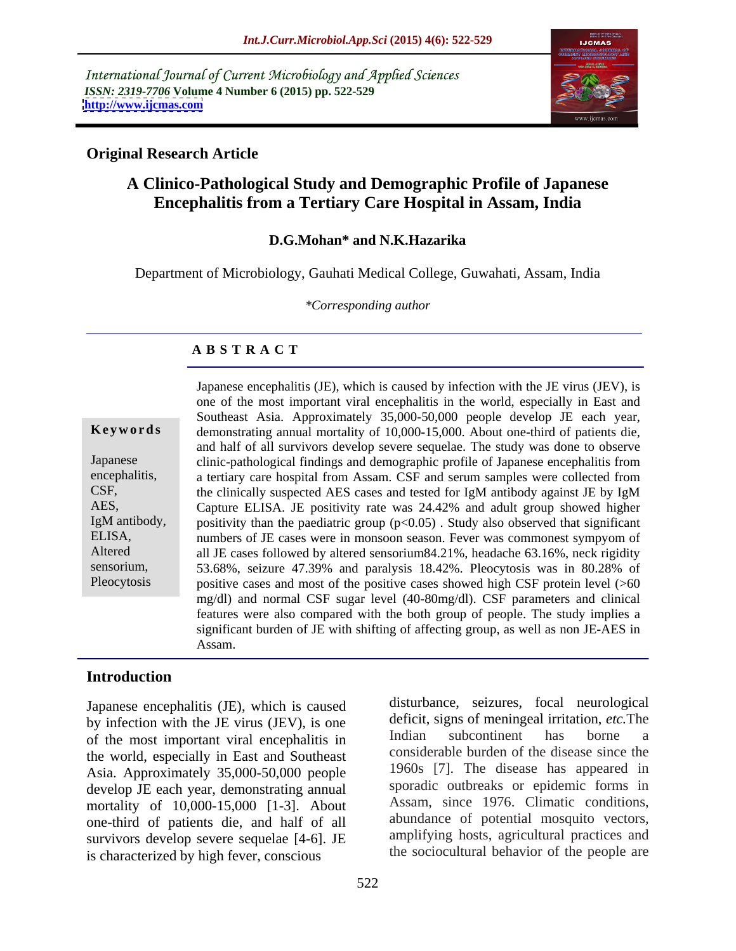International Journal of Current Microbiology and Applied Sciences *ISSN: 2319-7706* **Volume 4 Number 6 (2015) pp. 522-529 <http://www.ijcmas.com>**



### **Original Research Article**

## **A Clinico-Pathological Study and Demographic Profile of Japanese Encephalitis from a Tertiary Care Hospital in Assam, India**

### **D.G.Mohan\* and N.K.Hazarika**

Department of Microbiology, Gauhati Medical College, Guwahati, Assam, India

*\*Corresponding author*

### **A B S T R A C T**

Pleocytosis

Japanese encephalitis (JE), which is caused by infection with the JE virus (JEV), is one of the most important viral encephalitis in the world, especially in East and Southeast Asia. Approximately 35,000-50,000 people develop JE each year, demonstrating annual mortality of 10,000-15,000. About one-third of patients die, **Ke ywo rds** and half of all survivors develop severe sequelae. The study was done to observe clinic-pathological findings and demographic profile of Japanese encephalitis from Japanese encephalitis, a tertiary care hospital from Assam. CSF and serum samples were collected from the clinically suspected AES cases and tested for IgM antibody against JE by IgM CSF, Capture ELISA. JE positivity rate was 24.42% and adult group showed higher AES, IgM antibody, positivity than the paediatric group  $(p<0.05)$ . Study also observed that significant numbers of JE cases were in monsoon season. Fever was commonest sympyom of ELISA, all JE cases followed by altered sensorium84.21%, headache 63.16%, neck rigidity Altered 53.68%, seizure 47.39% and paralysis 18.42%. Pleocytosis was in 80.28% of sensorium, positive cases and most of the positive cases showed high CSF protein level (>60 mg/dl) and normal CSF sugar level (40-80mg/dl). CSF parameters and clinical features were also compared with the both group of people. The study implies a significant burden of JE with shifting of affecting group, as well as non JE-AES in Assam.

### **Introduction**

Japanese encephalitis (JE), which is caused by infection with the JE virus (JEV), is one deficit, signs of meningeal irritation, *etc*. The of the most important viral operablitic in Indian subcontinent has borne a of the most important viral encephalitis in the world, especially in East and Southeast Asia. Approximately 35,000-50,000 people develop JE each year, demonstrating annual mortality of 10,000-15,000 [1-3]. About one-third of patients die, and half of all survivors develop severe sequelae [4-6]. JE is characterized by high fever, conscious

disturbance, seizures, focal neurological deficit, signs of meningeal irritation, *etc.*The Indian subcontinent has borne a considerable burden of the disease since the 1960s [7]. The disease has appeared in sporadic outbreaks or epidemic forms in Assam, since 1976. Climatic conditions, abundance of potential mosquito vectors, amplifying hosts, agricultural practices and the sociocultural behavior of the people are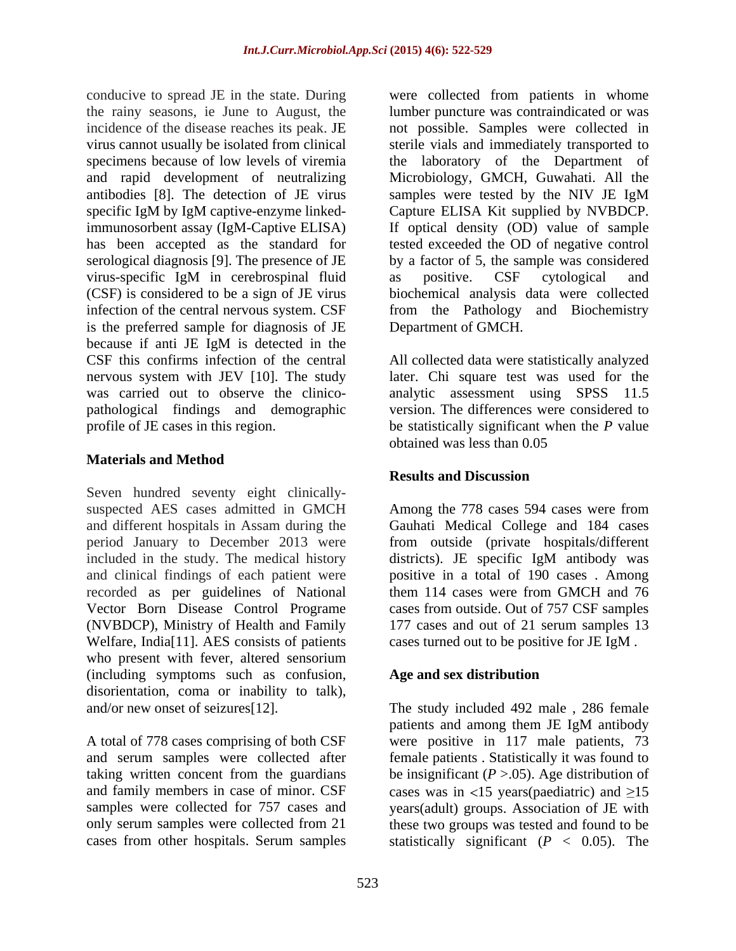antibodies [8]. The detection of JE virus specific IgM by IgM captive-enzyme linkedvirus-specific IgM in cerebrospinal fluid is the preferred sample for diagnosis of JE because if anti JE IgM is detected in the CSF this confirms infection of the central All collected data were statistically analyzed nervous system with JEV [10]. The study later. Chi square test was used for the was carried out to observe the clinico pathological findings and demographic profile of JE cases in this region. be statistically significant when the *P* value

### **Materials and Method**

Seven hundred seventy eight clinically suspected AES cases admitted in GMCH Among the 778 cases 594 cases were from and different hospitals in Assam during the Gauhati Medical College and 184 cases period January to December 2013 were from outside (private hospitals/different included in the study. The medical history and clinical findings of each patient were positive in a total of 190 cases . Among recorded as per guidelines of National them 114 cases were from GMCH and 76 Vector Born Disease Control Programe cases from outside. Out of 757 CSF samples (NVBDCP), Ministry of Health and Family 177 cases and out of 21 serum samples 13 Welfare, India[11]. AES consists of patients who present with fever, altered sensorium (including symptoms such as confusion, disorientation, coma or inability to talk),

conducive to spread JE in the state. During were collected from patients in whome the rainy seasons, ie June to August, the lumber puncture was contraindicated or was incidence of the disease reaches its peak. JE not possible. Samples were collected in virus cannot usually be isolated from clinical sterile vials and immediately transported to specimens because of low levels of viremia the laboratory of the Department of and rapid development of neutralizing Microbiology, GMCH, Guwahati. All the immunosorbent assay (IgM-Captive ELISA) If optical density (OD) value of sample has been accepted as the standard for tested exceeded the OD of negative control serological diagnosis [9]. The presence of JE by a factor of 5, the sample was considered (CSF) is considered to be a sign of JE virus biochemical analysis data were collected infection of the central nervous system. CSF from the Pathology and Biochemistry samples were tested by the NIV JE IgM Capture ELISA Kit supplied by NVBDCP. as positive. CSF cytological and Department of GMCH.

> analytic assessment using SPSS 11.5 version. The differences were considered to obtained was less than 0.05

### **Results and Discussion**

districts). JE specific IgM antibody was cases turned out to be positive for JE IgM .

### **Age and sex distribution**

and/or new onset of seizures[12]. The study included 492 male , 286 female A total of 778 cases comprising of both CSF were positive in 117 male patients, 73 and serum samples were collected after female patients . Statistically it was found to taking written concent from the guardians be insignificant  $(P > .05)$ . Age distribution of and family members in case of minor. CSF cases was in  $\langle 15 \rangle$  years(paediatric) and  $\geq 15$ samples were collected for 757 cases and years(adult) groups. Association of JE with only serum samples were collected from 21 these two groups was tested and found to be cases from other hospitals. Serum samples statistically significant (*P* < 0.05). The patients and among them JE IgM antibody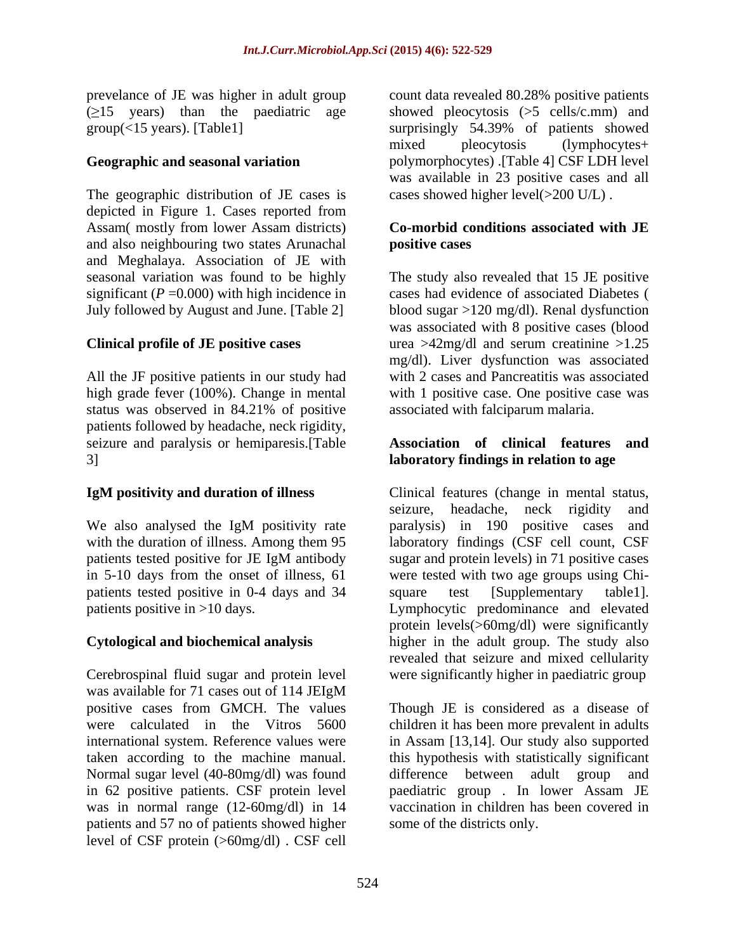The geographic distribution of JE cases is depicted in Figure 1. Cases reported from Assam( mostly from lower Assam districts) and also neighbouring two states Arunachal and Meghalaya. Association of JE with significant  $(P = 0.000)$  with high incidence in

All the JF positive patients in our study had high grade fever (100%). Change in mental status was observed in 84.21% of positive patients followed by headache, neck rigidity, seizure and paralysis or hemiparesis.[Table 3] **laboratory findings in relation to age**

patients tested positive in 0-4 days and 34 square test [Supplementary table1].

Cerebrospinal fluid sugar and protein level were significantly higher in paediatric group was available for 71 cases out of 114 JEIgM positive cases from GMCH. The values Normal sugar level (40-80mg/dl) was found difference between adult group and in 62 positive patients. CSF protein level patients and 57 no of patients showed higher level of CSF protein (>60mg/dl) . CSF cell

prevelance of JE was higher in adult group count data revealed 80.28% positive patients  $(\geq)15$  years) than the paediatric age showed pleocytosis ( $>5$  cells/c.mm) and group(<15 years). [Table1] surprisingly 54.39% of patients showed **Geographic and seasonal variation** polymorphocytes) .[Table 4] CSF LDH level mixed pleocytosis (lymphocytes+ was available in 23 positive cases and all cases showed higher level(>200 U/L) .

### **Co-morbid conditions associated with JE positive cases**

seasonal variation was found to be highly The study also revealed that 15 JE positive July followed by August and June. [Table 2] blood sugar >120 mg/dl). Renal dysfunction **Clinical profile of JE positive cases** urea >42mg/dl and serum creatinine >1.25 cases had evidence of associated Diabetes ( was associated with 8 positive cases (blood mg/dl). Liver dysfunction was associated with 2 cases and Pancreatitis was associated with 1 positive case. One positive case was associated with falciparum malaria.

# **Association of clinical features and**

**IgM positivity and duration of illness** Clinical features (change in mental status, We also analysed the IgM positivity rate paralysis) in 190 positive cases and with the duration of illness. Among them 95 laboratory findings (CSF cell count, CSF patients tested positive for JE IgM antibody sugar and protein levels) in 71 positive cases in 5-10 days from the onset of illness, 61 were tested with two age groups using Chi patients positive in >10 days. Lymphocytic predominance and elevated **Cytological and biochemical analysis** higher in the adult group. The study also Clinical features (change in mental status, seizure, headache, neck rigidity and sugar and protein levels) in 71 positive cases square test [Supplementary table1]. protein levels(>60mg/dl) were significantly revealed that seizure and mixed cellularity

were calculated in the Vitros 5600 children it has been more prevalent in adults international system. Reference values were in Assam [13,14]. Our study also supported taken according to the machine manual. this hypothesis with statistically significant was in normal range (12-60mg/dl) in 14 vaccination in children has been covered in Though JE is considered as a disease of difference between adult group paediatric group . In lower Assam JE some of the districts only.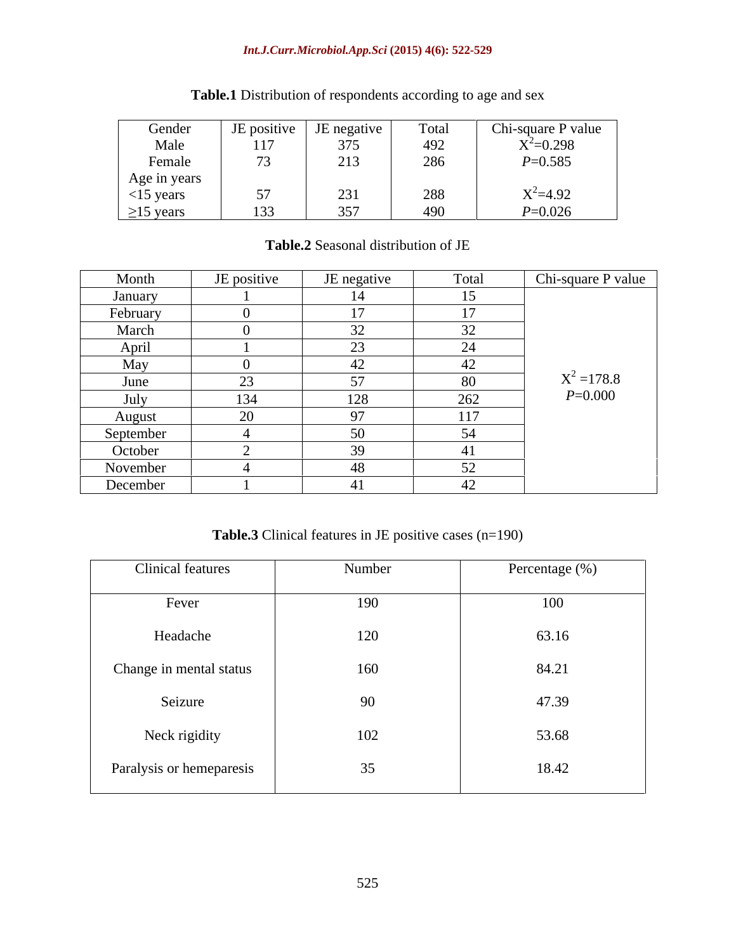### *Int.J.Curr.Microbiol.App.Sci* **(2015) 4(6): 522-529**

| Gender          | JE positive  | <b>JE</b> negative | Total           | Chi-square P value |
|-----------------|--------------|--------------------|-----------------|--------------------|
| Male            | 117          | 277                | 40 <sup>o</sup> | $X^2=0.298$        |
| Femal           | $\mathbf{z}$ | 212                | 286             | $P=0.585$          |
| Age in years    |              |                    |                 |                    |
| $<$ 15 years    | 57           | $ \sim$ $-$        | 288             | $X^2 = 4.92$       |
| $\geq$ 15 years | 133          | 357                | $400 -$<br>サンソー | $P=0.026$          |

# **Table.1** Distribution of respondents according to age and sex

### **Table.2** Seasonal distribution of JE

| Month             | JE positive    | JE negative    | Total     | Chi-square P value |
|-------------------|----------------|----------------|-----------|--------------------|
| January           |                |                | 15        |                    |
| February          |                | $\overline{a}$ | 17        |                    |
| March             |                | $\sim$         | 32        |                    |
| April             |                | $\sim$         | 24        |                    |
| May               |                |                | 42        |                    |
| June              | $\sim$         | $ -$           | 80        | $X^2 = 178.8$      |
| July<br><u>__</u> | 134            | 128            | 262       | $P = 0.000$        |
| <b>August</b>     | $\Omega$<br>∠U |                | 117       |                    |
| September         |                |                | 54        |                    |
| October           |                |                | 41        |                    |
| November          |                | $\sim$         | 52<br>ے ب |                    |
| December          |                |                | 42        |                    |

**Table.3** Clinical features in JE positive cases (n=190)

| <b>Clinical features</b> | Number | Percentage (%) |
|--------------------------|--------|----------------|
| Fever                    | 190    | 100            |
| Headache                 | 120    | 63.16          |
| Change in mental status  | 160    | 84.21          |
| Seizure                  | 90     | 47.39          |
| Neck rigidity            | 102    | 53.68          |
| Paralysis or hemeparesis | 35     | 18.42          |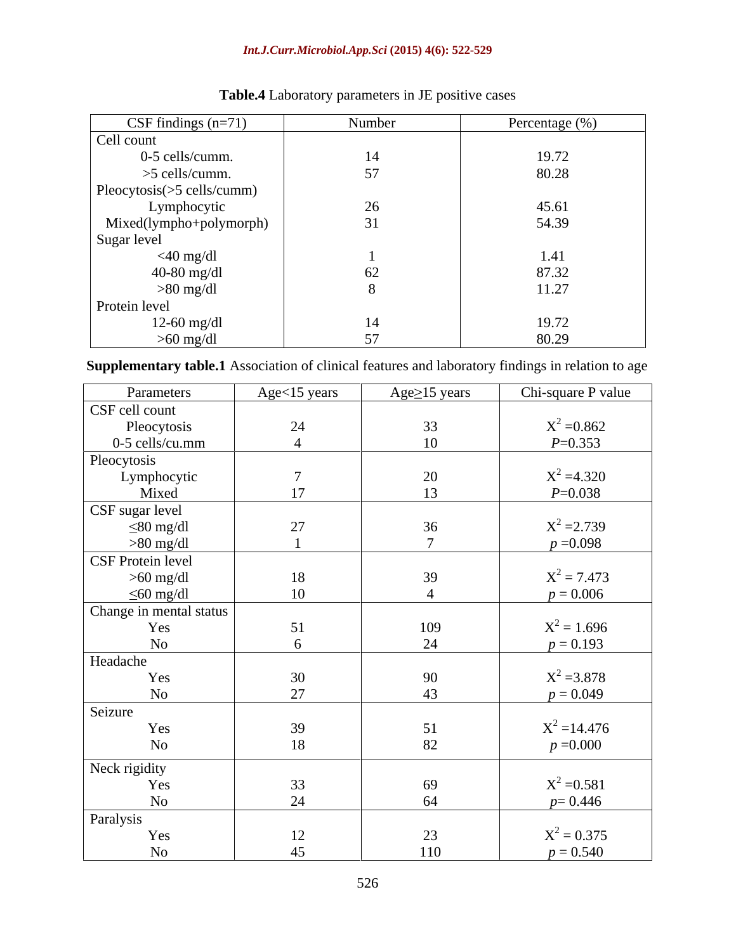### *Int.J.Curr.Microbiol.App.Sci* **(2015) 4(6): 522-529**

| CSF findings $(n=71)$      | Number | Percentage (%) |
|----------------------------|--------|----------------|
| Cell count                 |        |                |
| 0-5 cells/cumm.            | 14     | 19.72          |
| $>5$ cells/cumm.           | 57     | 80.28          |
| Pleocytosis(>5 cells/cumm) |        |                |
| Lymphocytic                | 26     | 45.61          |
| Mixed(lympho+polymorph)    | 31     | 54.39          |
| Sugar level                |        |                |
| $<$ 40 mg/dl               |        | 1.41           |
| 40-80 mg/dl                | 62     | 87.32          |
| $>80$ mg/dl                |        | 11.27          |
| Protein level              |        |                |
| $12-60$ mg/dl              | 14     | 19.72          |
| $>60$ mg/dl                |        | 80.29          |

# **Table.4** Laboratory parameters in JE positive cases

**Supplementary table.1** Association of clinical features and laboratory findings in relation to age

| Parameters              | Age<15 years | Age $\geq$ 15 years | Chi-square P value |
|-------------------------|--------------|---------------------|--------------------|
| CSF cell count          |              |                     |                    |
| Pleocytosis             | 24           | 33                  | $X^2 = 0.862$      |
| 0-5 cells/cu.mm         |              | 10 <sup>1</sup>     | $P=0.353$          |
| Pleocytosis             |              |                     |                    |
| Lymphocytic             |              | 20                  | $X^2 = 4.320$      |
| Mixed                   | 17           | 13                  | $P = 0.038$        |
| CSF sugar level         |              |                     |                    |
| $\leq 80$ mg/dl         | 27           | 36                  | $X^2 = 2.739$      |
| $>80$ mg/dl             |              | $\sqrt{ }$          | $p = 0.098$        |
| CSF Protein level       |              |                     |                    |
| $>60$ mg/dl             | 18           | 39                  | $X^2 = 7.473$      |
| $\leq 60$ mg/dl         | 10           |                     | $p = 0.006$        |
| Change in mental status |              |                     |                    |
| Yes                     | 51           | 109                 | $X^2 = 1.696$      |
| <b>No</b>               |              | 24                  | $p = 0.193$        |
| Headache                |              |                     |                    |
| Yes                     | 30           | 90                  | $X^2 = 3.878$      |
| No                      | 27           | 43                  | $p = 0.049$        |
| Seizure                 |              |                     |                    |
| Yes                     | 39           | 51                  | $X^2 = 14.476$     |
| No                      | 18           | 82                  | $p = 0.000$        |
| Neck rigidity           |              |                     |                    |
| Yes                     | 33           | 69                  | $X^2 = 0.581$      |
| <b>No</b>               | 24           | 64                  | $p=0.446$          |
| Paralysis               |              |                     |                    |
| Yes                     | 12           | 23                  | $X^2 = 0.375$      |
| <b>No</b>               | 45           | 110                 | $p = 0.540$        |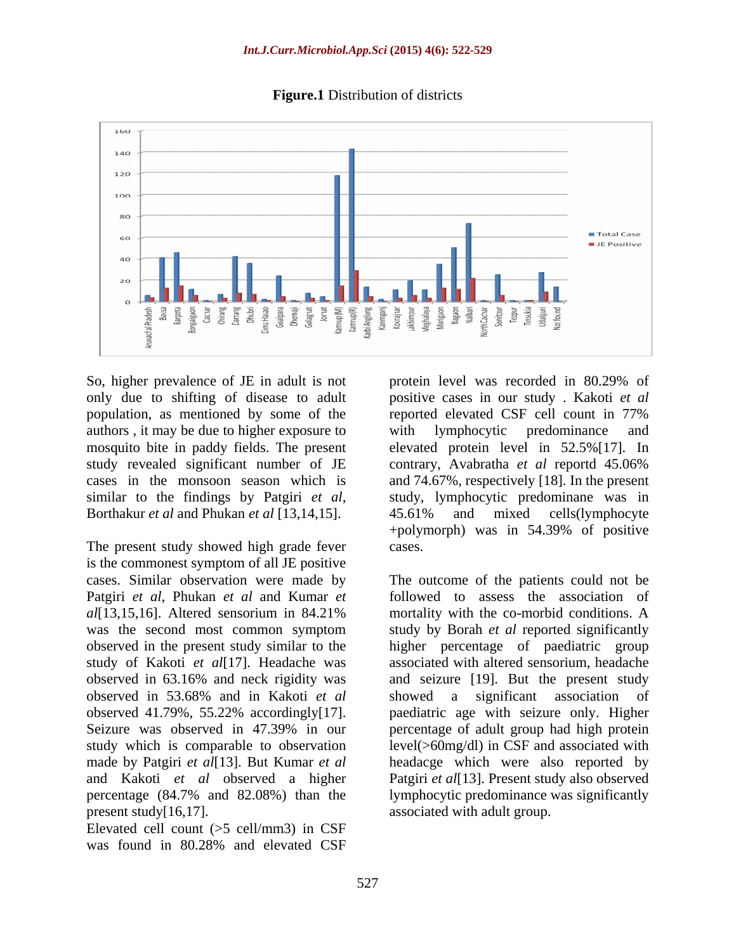

**Figure.1** Distribution of districts

population, as mentioned by some of the reported elevated CSF cell count in 77% authors , it may be due to higher exposure to study revealed significant number of JE contrary, Avabratha et al reportd 45.06% similar to the findings by Patgiri *et al*, study, lymphocytic predominane was in Borthakur *et al* and Phukan *et al* [13,14,15]. 45.61% and mixed cells(lymphocyte

The present study showed high grade fever cases. is the commonest symptom of all JE positive study of Kakoti *et al*[17]. Headache was observed in 53.68% and in Kakoti *et al* and Kakoti *et al* observed a higher

Elevated cell count (>5 cell/mm3) in CSF was found in 80.28% and elevated CSF

So, higher prevalence of JE in adult is not protein level was recorded in 80.29% of only due to shifting of disease to adult positive cases in our study . Kakoti *et al* mosquito bite in paddy fields. The present elevated protein level in 52.5%[17]. In cases in the monsoon season which is and 74.67%, respectively [18]. In the present reported elevated CSF cell count in 77% with lymphocytic predominance and contrary, Avabratha *et al* reportd 45.06% study, lymphocytic predominane was in 45.61% and mixed cells(lymphocyte +polymorph) was in 54.39% of positive cases.

cases. Similar observation were made by The outcome of the patients could not be Patgiri *et al*, Phukan *et al* and Kumar *et* followed to assess the association of *al*[13,15,16]. Altered sensorium in 84.21% was the second most common symptom study by Borah et al reported significantly observed in the present study similar to the higher percentage of paediatric group observed in 63.16% and neck rigidity was and seizure [19]. But the present study observed 41.79%, 55.22% accordingly[17]. paediatric age with seizure only. Higher Seizure was observed in 47.39% in our percentage of adult group had high protein study which is comparable to observation level(>60mg/dl) in CSF and associated with made by Patgiri *et al*[13]. But Kumar *et al* headacge which were also reported by percentage (84.7% and 82.08%) than the lymphocytic predominance was significantly present study[16,17]. The associated with adult group. mortality with the co-morbid conditions. A study by Borah *et al* reported significantly associated with altered sensorium, headache showed a significant association Patgiri *et al*[13]. Present study also observed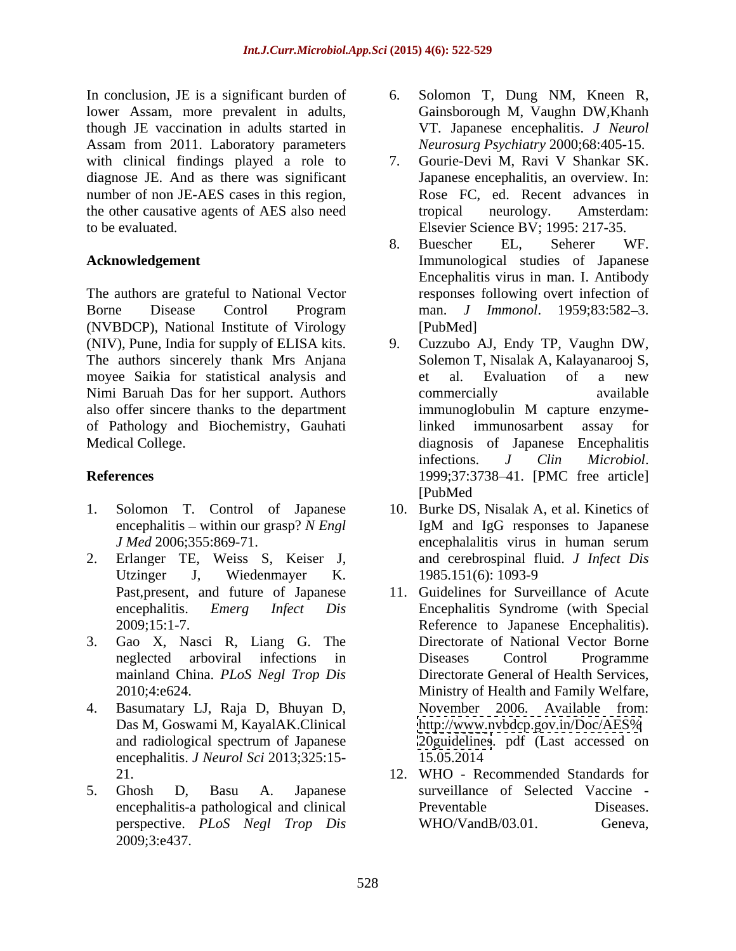In conclusion, JE is a significant burden of 6. Solomon T, Dung NM, Kneen R, lower Assam, more prevalent in adults, though JE vaccination in adults started in Assam from 2011. Laboratory parameters with clinical findings played a role to 7. Gourie-Devi M, Ravi V Shankar SK. diagnose JE. And as there was significant number of non JE-AES cases in this region, the other causative agents of AES also need tropical neurology. Amsterdam:

The authors are grateful to National Vector (NVBDCP), National Institute of Virology (NIV), Pune, India for supply of ELISA kits. The authors sincerely thank Mrs Anjana moyee Saikia for statistical analysis and Nimi Baruah Das for her support. Authors also offer sincere thanks to the department immunoglobulin M capture enzymeof Pathology and Biochemistry, Gauhati

- 
- 2. Erlanger TE, Weiss S, Keiser J, Utzinger J, Wiedenmayer K. 1985.151(6): 1093-9
- 3. Gao X, Nasci R, Liang G. The mainland China. *PLoS Negl Trop Dis*
- 4. Basumatary LJ, Raja D, Bhuyan D, encephalitis. *J Neurol Sci* 2013;325:15-
- 2009;3:e437.
- Gainsborough M, Vaughn DW,Khanh VT. Japanese encephalitis. *J Neurol Neurosurg Psychiatry* 2000;68:405-15.
- to be evaluated. Elsevier Science BV; 1995: 217-35. 7. Gourie-Devi M, Ravi V Shankar SK. Japanese encephalitis, an overview. In: Rose FC, ed. Recent advances in tropical neurology. Amsterdam:
- **Acknowledgement** Immunological studies of Japanese Borne Disease Control Program man. *J Immonol*. 1959;83:582–3. 8. Buescher EL, Seherer WF. Encephalitis virus in man. I. Antibody responses following overt infection of man. *J Immonol*. 1959:83:582-3. [PubMed]
- Medical College. diagnosis of Japanese Encephalitis **References** 1999;37:3738-41. [PMC free article] 9. Cuzzubo AJ, Endy TP, Vaughn DW, Solemon T, Nisalak A, Kalayanarooj S, et al. Evaluation of a new commercially available immunoglobulin M capture enzymelinked immunosarbent assay for infections. *J Clin Microbiol*.<br>1999;37:3738–41. [PMC free article] [PubMed
- 1. Solomon T. Control of Japanese 10. Burke DS, Nisalak A, et al. Kinetics of encephalitis – within our grasp? *N Engl* IgM and IgG responses to Japanese *J Med* 2006;355:869-71. encephalalitis virus in human serum IgM and IgG responses to Japanese encephalalitis virus in human serum and cerebrospinal fluid. *J Infect Dis* 1985.151(6): 1093-9
	- Past,present, and future of Japanese 11. Guidelines for Surveillance of Acute encephalitis. *Emerg Infect Dis* Encephalitis Syndrome (with Special 2009;15:1-7. Reference to Japanese Encephalitis). neglected arboviral infections in 2010;4:e624. Ministry of Health and Family Welfare, Das M, Goswami M, KayalAK.Clinical and radiological spectrum of Japanese Directorate of National Vector Borne Diseases Control Programme Directorate General of Health Services, November 2006. Available from: <http://www.nvbdcp.gov.in/Doc/AES%> <20guidelines>. pdf (Last accessed on 15.05.2014
- 21. 12. WHO Recommended Standards for 5. Ghosh D, Basu A. Japanese surveillance of Selected Vaccine encephalitis-a pathological and clinical perspective. *PLoS Negl Trop Dis* Preventable Diseases.  $WHO/V$ and $B/03.01$ .